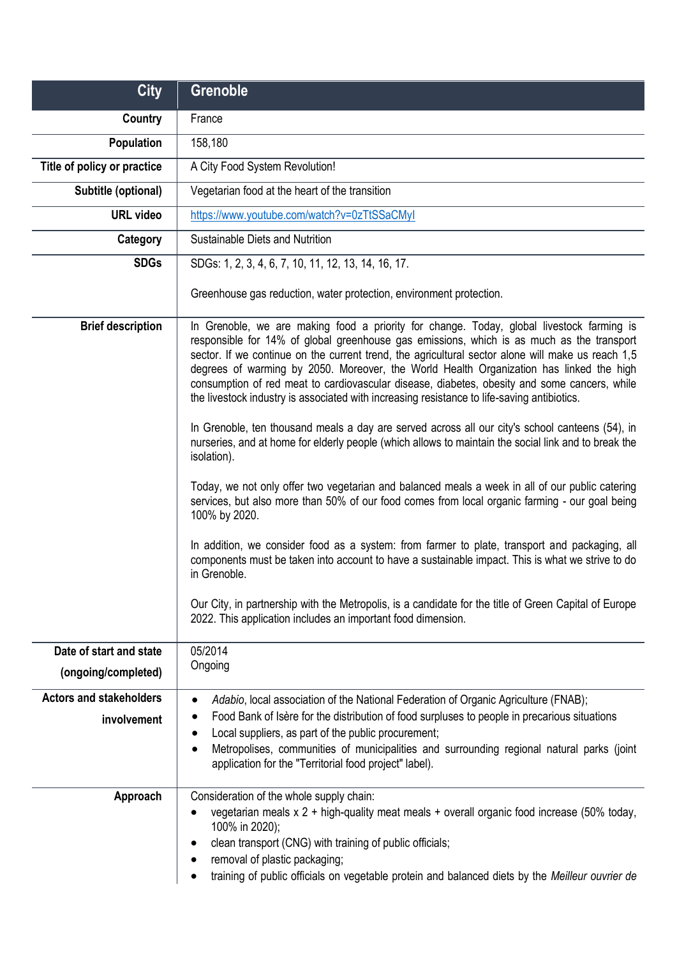| <b>City</b>                                   | <b>Grenoble</b>                                                                                                                                                                                                                                                                                                                                                                                                                                                                                                                                                                                                                                                                                                                                                                                  |
|-----------------------------------------------|--------------------------------------------------------------------------------------------------------------------------------------------------------------------------------------------------------------------------------------------------------------------------------------------------------------------------------------------------------------------------------------------------------------------------------------------------------------------------------------------------------------------------------------------------------------------------------------------------------------------------------------------------------------------------------------------------------------------------------------------------------------------------------------------------|
| Country                                       | France                                                                                                                                                                                                                                                                                                                                                                                                                                                                                                                                                                                                                                                                                                                                                                                           |
| Population                                    | 158,180                                                                                                                                                                                                                                                                                                                                                                                                                                                                                                                                                                                                                                                                                                                                                                                          |
| Title of policy or practice                   | A City Food System Revolution!                                                                                                                                                                                                                                                                                                                                                                                                                                                                                                                                                                                                                                                                                                                                                                   |
| Subtitle (optional)                           | Vegetarian food at the heart of the transition                                                                                                                                                                                                                                                                                                                                                                                                                                                                                                                                                                                                                                                                                                                                                   |
| <b>URL video</b>                              | https://www.youtube.com/watch?v=0zTtSSaCMyI                                                                                                                                                                                                                                                                                                                                                                                                                                                                                                                                                                                                                                                                                                                                                      |
| Category                                      | Sustainable Diets and Nutrition                                                                                                                                                                                                                                                                                                                                                                                                                                                                                                                                                                                                                                                                                                                                                                  |
| <b>SDGs</b>                                   | SDGs: 1, 2, 3, 4, 6, 7, 10, 11, 12, 13, 14, 16, 17.                                                                                                                                                                                                                                                                                                                                                                                                                                                                                                                                                                                                                                                                                                                                              |
|                                               | Greenhouse gas reduction, water protection, environment protection.                                                                                                                                                                                                                                                                                                                                                                                                                                                                                                                                                                                                                                                                                                                              |
| <b>Brief description</b>                      | In Grenoble, we are making food a priority for change. Today, global livestock farming is<br>responsible for 14% of global greenhouse gas emissions, which is as much as the transport<br>sector. If we continue on the current trend, the agricultural sector alone will make us reach 1,5<br>degrees of warming by 2050. Moreover, the World Health Organization has linked the high<br>consumption of red meat to cardiovascular disease, diabetes, obesity and some cancers, while<br>the livestock industry is associated with increasing resistance to life-saving antibiotics.<br>In Grenoble, ten thousand meals a day are served across all our city's school canteens (54), in<br>nurseries, and at home for elderly people (which allows to maintain the social link and to break the |
|                                               | isolation).<br>Today, we not only offer two vegetarian and balanced meals a week in all of our public catering<br>services, but also more than 50% of our food comes from local organic farming - our goal being<br>100% by 2020.<br>In addition, we consider food as a system: from farmer to plate, transport and packaging, all<br>components must be taken into account to have a sustainable impact. This is what we strive to do<br>in Grenoble.<br>Our City, in partnership with the Metropolis, is a candidate for the title of Green Capital of Europe<br>2022. This application includes an important food dimension.                                                                                                                                                                  |
| Date of start and state                       | 05/2014                                                                                                                                                                                                                                                                                                                                                                                                                                                                                                                                                                                                                                                                                                                                                                                          |
| (ongoing/completed)                           | Ongoing                                                                                                                                                                                                                                                                                                                                                                                                                                                                                                                                                                                                                                                                                                                                                                                          |
| <b>Actors and stakeholders</b><br>involvement | Adabio, local association of the National Federation of Organic Agriculture (FNAB);<br>Food Bank of Isère for the distribution of food surpluses to people in precarious situations<br>Local suppliers, as part of the public procurement;<br>Metropolises, communities of municipalities and surrounding regional natural parks (joint<br>application for the "Territorial food project" label).                                                                                                                                                                                                                                                                                                                                                                                                |
| Approach                                      | Consideration of the whole supply chain:<br>vegetarian meals x 2 + high-quality meat meals + overall organic food increase (50% today,<br>100% in 2020);<br>clean transport (CNG) with training of public officials;<br>removal of plastic packaging;<br>training of public officials on vegetable protein and balanced diets by the Meilleur ouvrier de                                                                                                                                                                                                                                                                                                                                                                                                                                         |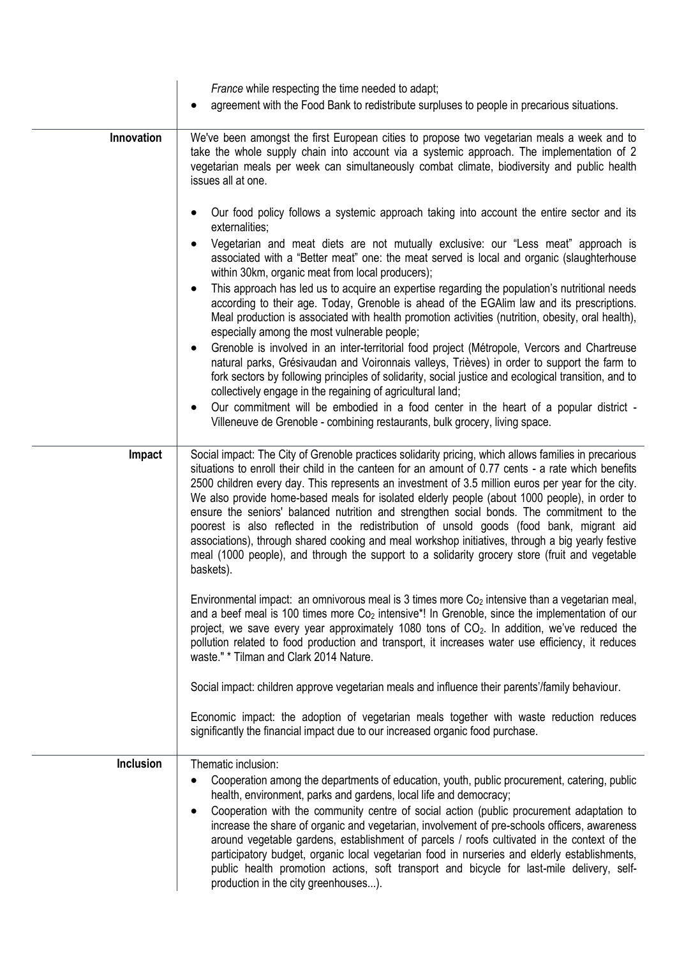|                  | France while respecting the time needed to adapt;                                                                                                                                                                                                                                                                                                                                                                                                                                                                                                                                                                                                                                                                                                                                                                               |
|------------------|---------------------------------------------------------------------------------------------------------------------------------------------------------------------------------------------------------------------------------------------------------------------------------------------------------------------------------------------------------------------------------------------------------------------------------------------------------------------------------------------------------------------------------------------------------------------------------------------------------------------------------------------------------------------------------------------------------------------------------------------------------------------------------------------------------------------------------|
|                  | agreement with the Food Bank to redistribute surpluses to people in precarious situations.                                                                                                                                                                                                                                                                                                                                                                                                                                                                                                                                                                                                                                                                                                                                      |
| Innovation       | We've been amongst the first European cities to propose two vegetarian meals a week and to<br>take the whole supply chain into account via a systemic approach. The implementation of 2<br>vegetarian meals per week can simultaneously combat climate, biodiversity and public health<br>issues all at one.                                                                                                                                                                                                                                                                                                                                                                                                                                                                                                                    |
|                  | Our food policy follows a systemic approach taking into account the entire sector and its<br>externalities;<br>Vegetarian and meat diets are not mutually exclusive: our "Less meat" approach is<br>associated with a "Better meat" one: the meat served is local and organic (slaughterhouse                                                                                                                                                                                                                                                                                                                                                                                                                                                                                                                                   |
|                  | within 30km, organic meat from local producers);<br>This approach has led us to acquire an expertise regarding the population's nutritional needs<br>according to their age. Today, Grenoble is ahead of the EGAlim law and its prescriptions.<br>Meal production is associated with health promotion activities (nutrition, obesity, oral health),<br>especially among the most vulnerable people;                                                                                                                                                                                                                                                                                                                                                                                                                             |
|                  | Grenoble is involved in an inter-territorial food project (Métropole, Vercors and Chartreuse<br>natural parks, Grésivaudan and Voironnais valleys, Trièves) in order to support the farm to<br>fork sectors by following principles of solidarity, social justice and ecological transition, and to<br>collectively engage in the regaining of agricultural land;                                                                                                                                                                                                                                                                                                                                                                                                                                                               |
|                  | Our commitment will be embodied in a food center in the heart of a popular district -<br>Villeneuve de Grenoble - combining restaurants, bulk grocery, living space.                                                                                                                                                                                                                                                                                                                                                                                                                                                                                                                                                                                                                                                            |
| Impact           | Social impact: The City of Grenoble practices solidarity pricing, which allows families in precarious<br>situations to enroll their child in the canteen for an amount of 0.77 cents - a rate which benefits<br>2500 children every day. This represents an investment of 3.5 million euros per year for the city.<br>We also provide home-based meals for isolated elderly people (about 1000 people), in order to<br>ensure the seniors' balanced nutrition and strengthen social bonds. The commitment to the<br>poorest is also reflected in the redistribution of unsold goods (food bank, migrant aid<br>associations), through shared cooking and meal workshop initiatives, through a big yearly festive<br>meal (1000 people), and through the support to a solidarity grocery store (fruit and vegetable<br>baskets). |
|                  | Environmental impact: an omnivorous meal is 3 times more $Co2$ intensive than a vegetarian meal,<br>and a beef meal is 100 times more $Co2$ intensive <sup>*</sup> ! In Grenoble, since the implementation of our<br>project, we save every year approximately 1080 tons of $CO2$ . In addition, we've reduced the<br>pollution related to food production and transport, it increases water use efficiency, it reduces<br>waste." * Tilman and Clark 2014 Nature.                                                                                                                                                                                                                                                                                                                                                              |
|                  | Social impact: children approve vegetarian meals and influence their parents'/family behaviour.                                                                                                                                                                                                                                                                                                                                                                                                                                                                                                                                                                                                                                                                                                                                 |
|                  | Economic impact: the adoption of vegetarian meals together with waste reduction reduces<br>significantly the financial impact due to our increased organic food purchase.                                                                                                                                                                                                                                                                                                                                                                                                                                                                                                                                                                                                                                                       |
| <b>Inclusion</b> | Thematic inclusion:<br>Cooperation among the departments of education, youth, public procurement, catering, public<br>health, environment, parks and gardens, local life and democracy;<br>Cooperation with the community centre of social action (public procurement adaptation to<br>$\bullet$<br>increase the share of organic and vegetarian, involvement of pre-schools officers, awareness<br>around vegetable gardens, establishment of parcels / roofs cultivated in the context of the<br>participatory budget, organic local vegetarian food in nurseries and elderly establishments,<br>public health promotion actions, soft transport and bicycle for last-mile delivery, self-<br>production in the city greenhouses).                                                                                            |